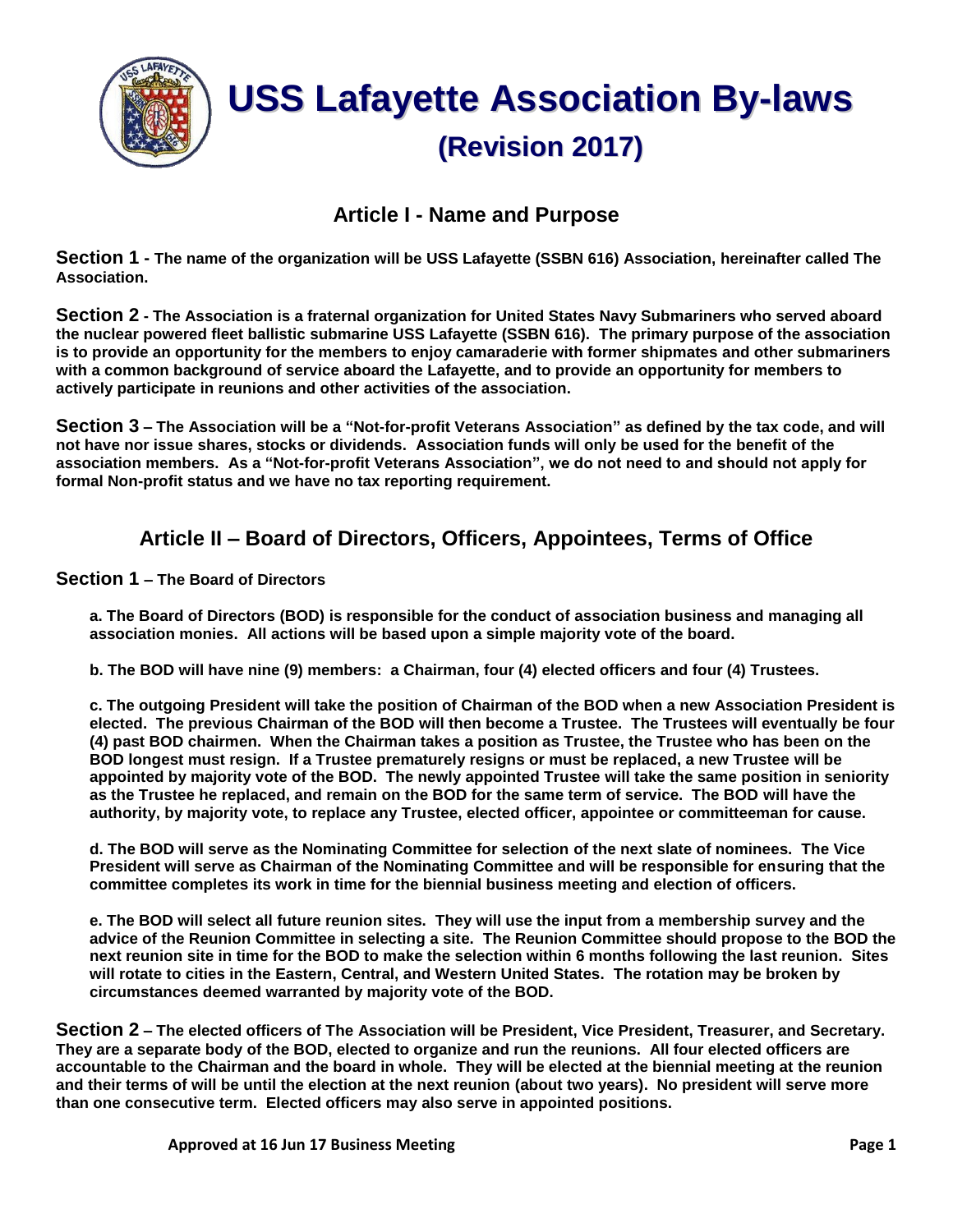

#### **Article I - Name and Purpose**

**Section 1 - The name of the organization will be USS Lafayette (SSBN 616) Association, hereinafter called The Association.**

**Section 2 - The Association is a fraternal organization for United States Navy Submariners who served aboard the nuclear powered fleet ballistic submarine USS Lafayette (SSBN 616). The primary purpose of the association is to provide an opportunity for the members to enjoy camaraderie with former shipmates and other submariners with a common background of service aboard the Lafayette, and to provide an opportunity for members to actively participate in reunions and other activities of the association.**

**Section 3 – The Association will be a "Not-for-profit Veterans Association" as defined by the tax code, and will not have nor issue shares, stocks or dividends. Association funds will only be used for the benefit of the association members. As a "Not-for-profit Veterans Association", we do not need to and should not apply for formal Non-profit status and we have no tax reporting requirement.**

### **Article II – Board of Directors, Officers, Appointees, Terms of Office**

**Section 1 – The Board of Directors**

**a. The Board of Directors (BOD) is responsible for the conduct of association business and managing all association monies. All actions will be based upon a simple majority vote of the board.**

**b. The BOD will have nine (9) members: a Chairman, four (4) elected officers and four (4) Trustees.**

**c. The outgoing President will take the position of Chairman of the BOD when a new Association President is elected. The previous Chairman of the BOD will then become a Trustee. The Trustees will eventually be four (4) past BOD chairmen. When the Chairman takes a position as Trustee, the Trustee who has been on the BOD longest must resign. If a Trustee prematurely resigns or must be replaced, a new Trustee will be appointed by majority vote of the BOD. The newly appointed Trustee will take the same position in seniority as the Trustee he replaced, and remain on the BOD for the same term of service. The BOD will have the authority, by majority vote, to replace any Trustee, elected officer, appointee or committeeman for cause.** 

**d. The BOD will serve as the Nominating Committee for selection of the next slate of nominees. The Vice President will serve as Chairman of the Nominating Committee and will be responsible for ensuring that the committee completes its work in time for the biennial business meeting and election of officers.**

**e. The BOD will select all future reunion sites. They will use the input from a membership survey and the advice of the Reunion Committee in selecting a site. The Reunion Committee should propose to the BOD the next reunion site in time for the BOD to make the selection within 6 months following the last reunion. Sites will rotate to cities in the Eastern, Central, and Western United States. The rotation may be broken by circumstances deemed warranted by majority vote of the BOD.** 

**Section 2 – The elected officers of The Association will be President, Vice President, Treasurer, and Secretary. They are a separate body of the BOD, elected to organize and run the reunions. All four elected officers are accountable to the Chairman and the board in whole. They will be elected at the biennial meeting at the reunion and their terms of will be until the election at the next reunion (about two years). No president will serve more than one consecutive term. Elected officers may also serve in appointed positions.**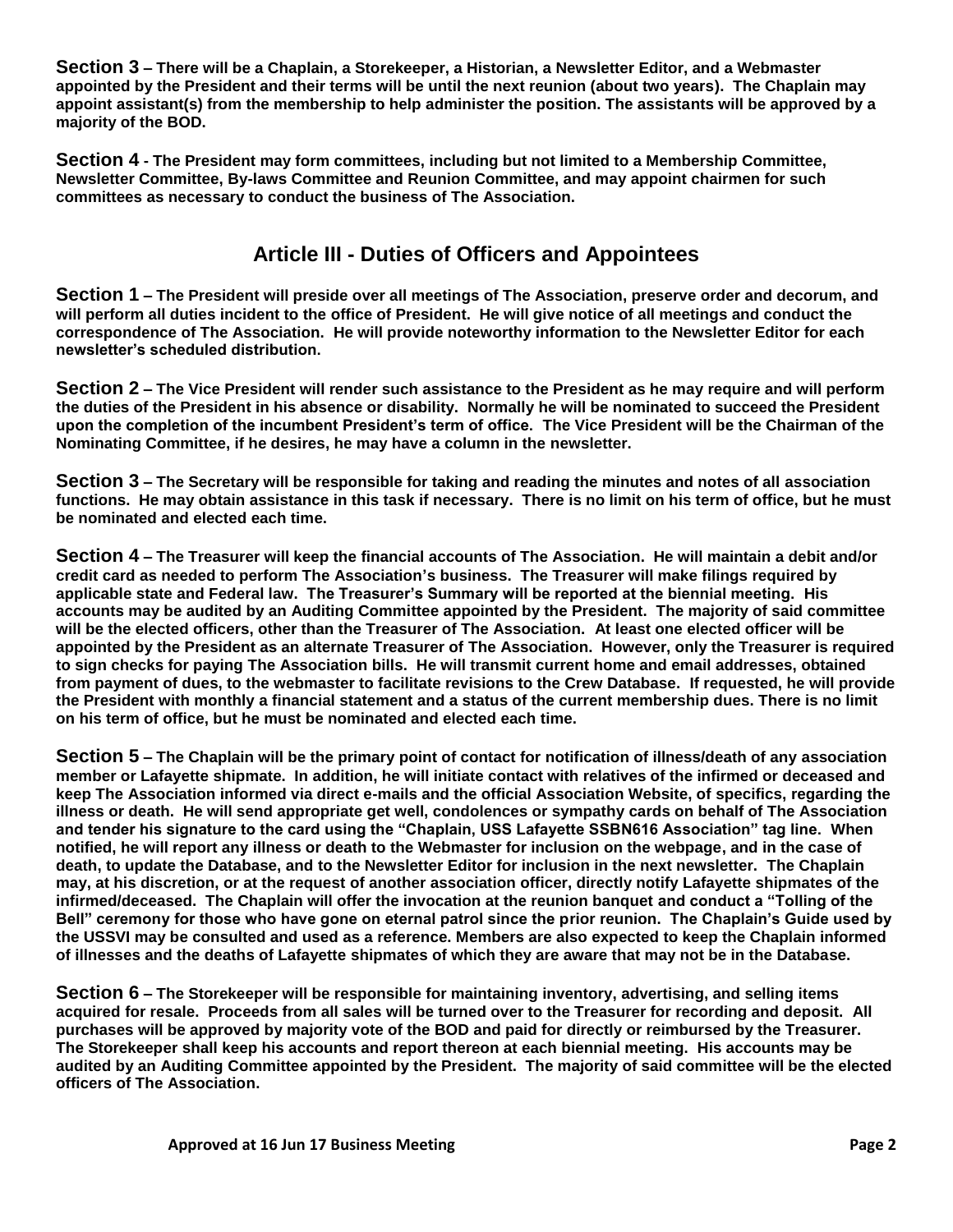**Section 3 – There will be a Chaplain, a Storekeeper, a Historian, a Newsletter Editor, and a Webmaster appointed by the President and their terms will be until the next reunion (about two years). The Chaplain may appoint assistant(s) from the membership to help administer the position. The assistants will be approved by a majority of the BOD.**

**Section 4 - The President may form committees, including but not limited to a Membership Committee, Newsletter Committee, By-laws Committee and Reunion Committee, and may appoint chairmen for such committees as necessary to conduct the business of The Association.**

### **Article III - Duties of Officers and Appointees**

**Section 1 – The President will preside over all meetings of The Association, preserve order and decorum, and will perform all duties incident to the office of President. He will give notice of all meetings and conduct the correspondence of The Association. He will provide noteworthy information to the Newsletter Editor for each newsletter's scheduled distribution.**

**Section 2 – The Vice President will render such assistance to the President as he may require and will perform the duties of the President in his absence or disability. Normally he will be nominated to succeed the President upon the completion of the incumbent President's term of office. The Vice President will be the Chairman of the Nominating Committee, if he desires, he may have a column in the newsletter.**

**Section 3 – The Secretary will be responsible for taking and reading the minutes and notes of all association functions. He may obtain assistance in this task if necessary. There is no limit on his term of office, but he must be nominated and elected each time.**

**Section 4 – The Treasurer will keep the financial accounts of The Association. He will maintain a debit and/or credit card as needed to perform The Association's business. The Treasurer will make filings required by applicable state and Federal law. The Treasurer's Summary will be reported at the biennial meeting. His accounts may be audited by an Auditing Committee appointed by the President. The majority of said committee will be the elected officers, other than the Treasurer of The Association. At least one elected officer will be appointed by the President as an alternate Treasurer of The Association. However, only the Treasurer is required to sign checks for paying The Association bills. He will transmit current home and email addresses, obtained from payment of dues, to the webmaster to facilitate revisions to the Crew Database. If requested, he will provide the President with monthly a financial statement and a status of the current membership dues. There is no limit on his term of office, but he must be nominated and elected each time.**

**Section 5 – The Chaplain will be the primary point of contact for notification of illness/death of any association member or Lafayette shipmate. In addition, he will initiate contact with relatives of the infirmed or deceased and keep The Association informed via direct e-mails and the official Association Website, of specifics, regarding the illness or death. He will send appropriate get well, condolences or sympathy cards on behalf of The Association and tender his signature to the card using the "Chaplain, USS Lafayette SSBN616 Association" tag line. When notified, he will report any illness or death to the Webmaster for inclusion on the webpage, and in the case of death, to update the Database, and to the Newsletter Editor for inclusion in the next newsletter. The Chaplain may, at his discretion, or at the request of another association officer, directly notify Lafayette shipmates of the infirmed/deceased. The Chaplain will offer the invocation at the reunion banquet and conduct a "Tolling of the Bell" ceremony for those who have gone on eternal patrol since the prior reunion. The Chaplain's Guide used by the USSVI may be consulted and used as a reference. Members are also expected to keep the Chaplain informed of illnesses and the deaths of Lafayette shipmates of which they are aware that may not be in the Database.**

**Section 6 – The Storekeeper will be responsible for maintaining inventory, advertising, and selling items acquired for resale. Proceeds from all sales will be turned over to the Treasurer for recording and deposit. All purchases will be approved by majority vote of the BOD and paid for directly or reimbursed by the Treasurer. The Storekeeper shall keep his accounts and report thereon at each biennial meeting. His accounts may be audited by an Auditing Committee appointed by the President. The majority of said committee will be the elected officers of The Association.**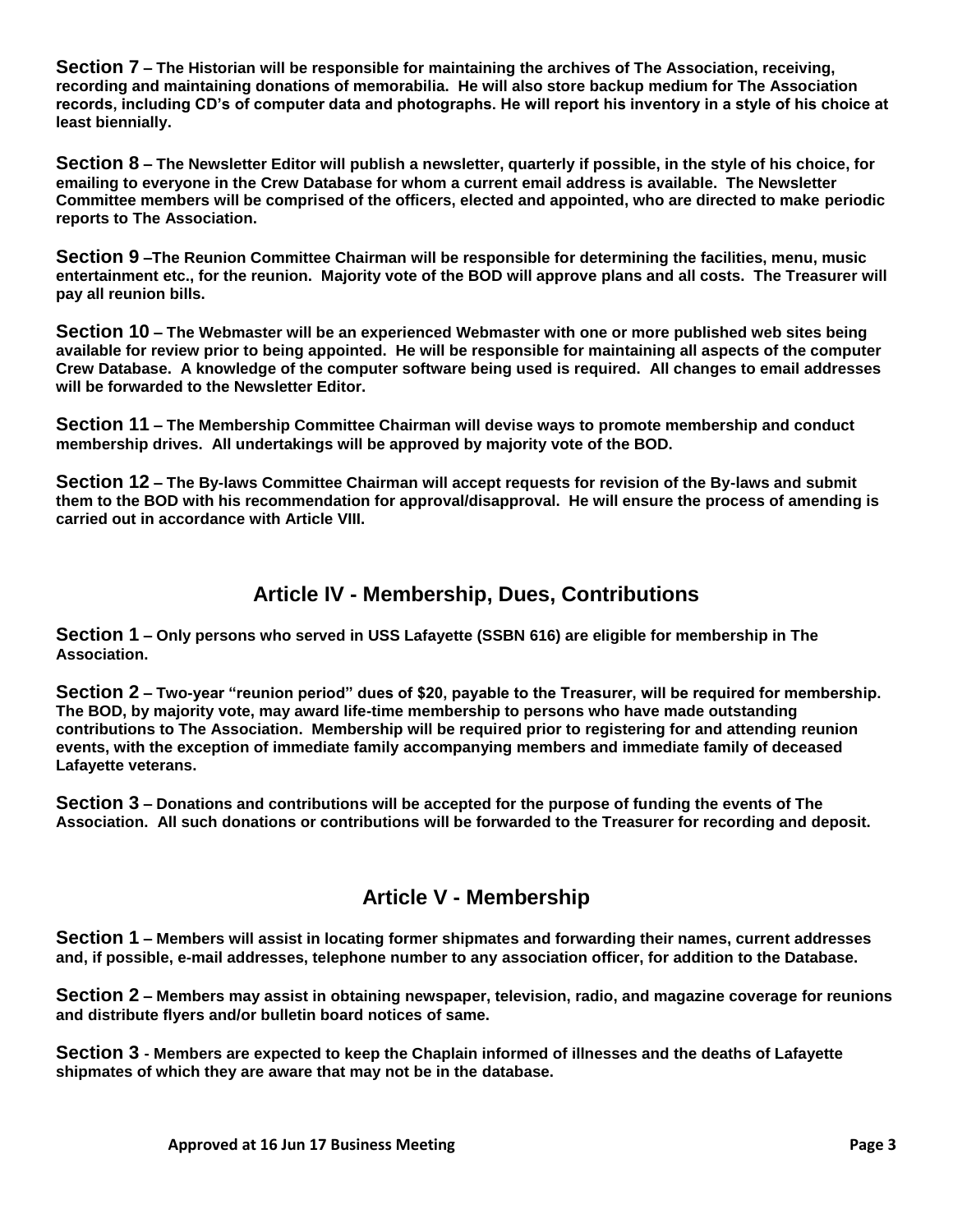**Section 7 – The Historian will be responsible for maintaining the archives of The Association, receiving, recording and maintaining donations of memorabilia. He will also store backup medium for The Association records, including CD's of computer data and photographs. He will report his inventory in a style of his choice at least biennially.**

**Section 8 – The Newsletter Editor will publish a newsletter, quarterly if possible, in the style of his choice, for emailing to everyone in the Crew Database for whom a current email address is available. The Newsletter Committee members will be comprised of the officers, elected and appointed, who are directed to make periodic reports to The Association.**

**Section 9 –The Reunion Committee Chairman will be responsible for determining the facilities, menu, music entertainment etc., for the reunion. Majority vote of the BOD will approve plans and all costs. The Treasurer will pay all reunion bills.** 

**Section 10 – The Webmaster will be an experienced Webmaster with one or more published web sites being available for review prior to being appointed. He will be responsible for maintaining all aspects of the computer Crew Database. A knowledge of the computer software being used is required. All changes to email addresses will be forwarded to the Newsletter Editor.** 

**Section 11 – The Membership Committee Chairman will devise ways to promote membership and conduct membership drives. All undertakings will be approved by majority vote of the BOD.**

**Section 12 – The By-laws Committee Chairman will accept requests for revision of the By-laws and submit them to the BOD with his recommendation for approval/disapproval. He will ensure the process of amending is carried out in accordance with Article VIII.**

# **Article IV - Membership, Dues, Contributions**

**Section 1 – Only persons who served in USS Lafayette (SSBN 616) are eligible for membership in The Association.**

**Section 2 – Two-year "reunion period" dues of \$20, payable to the Treasurer, will be required for membership. The BOD, by majority vote, may award life-time membership to persons who have made outstanding contributions to The Association. Membership will be required prior to registering for and attending reunion events, with the exception of immediate family accompanying members and immediate family of deceased Lafayette veterans.** 

**Section 3 – Donations and contributions will be accepted for the purpose of funding the events of The Association. All such donations or contributions will be forwarded to the Treasurer for recording and deposit.**

# **Article V - Membership**

**Section 1 – Members will assist in locating former shipmates and forwarding their names, current addresses and, if possible, e-mail addresses, telephone number to any association officer, for addition to the Database.**

**Section 2 – Members may assist in obtaining newspaper, television, radio, and magazine coverage for reunions and distribute flyers and/or bulletin board notices of same.**

**Section 3 - Members are expected to keep the Chaplain informed of illnesses and the deaths of Lafayette shipmates of which they are aware that may not be in the database.**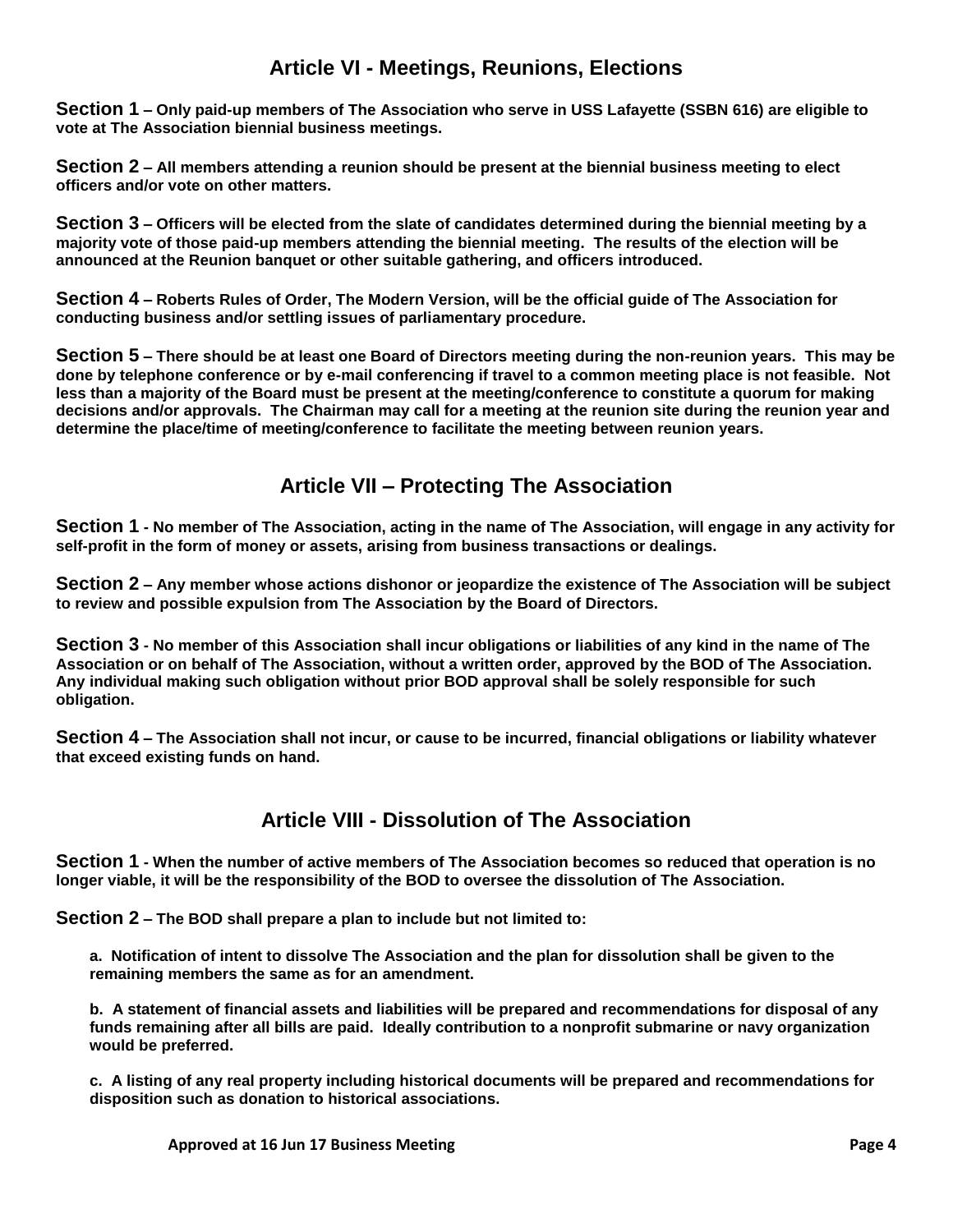#### **Article VI - Meetings, Reunions, Elections**

**Section 1 – Only paid-up members of The Association who serve in USS Lafayette (SSBN 616) are eligible to vote at The Association biennial business meetings.**

**Section 2 – All members attending a reunion should be present at the biennial business meeting to elect officers and/or vote on other matters.**

**Section 3 – Officers will be elected from the slate of candidates determined during the biennial meeting by a majority vote of those paid-up members attending the biennial meeting. The results of the election will be announced at the Reunion banquet or other suitable gathering, and officers introduced.**

**Section 4 – Roberts Rules of Order, The Modern Version, will be the official guide of The Association for conducting business and/or settling issues of parliamentary procedure.**

**Section 5 – There should be at least one Board of Directors meeting during the non-reunion years. This may be done by telephone conference or by e-mail conferencing if travel to a common meeting place is not feasible. Not less than a majority of the Board must be present at the meeting/conference to constitute a quorum for making decisions and/or approvals. The Chairman may call for a meeting at the reunion site during the reunion year and determine the place/time of meeting/conference to facilitate the meeting between reunion years.**

# **Article VII – Protecting The Association**

**Section 1 - No member of The Association, acting in the name of The Association, will engage in any activity for self-profit in the form of money or assets, arising from business transactions or dealings.**

**Section 2 – Any member whose actions dishonor or jeopardize the existence of The Association will be subject to review and possible expulsion from The Association by the Board of Directors.**

**Section 3 - No member of this Association shall incur obligations or liabilities of any kind in the name of The Association or on behalf of The Association, without a written order, approved by the BOD of The Association. Any individual making such obligation without prior BOD approval shall be solely responsible for such obligation.**

**Section 4 – The Association shall not incur, or cause to be incurred, financial obligations or liability whatever that exceed existing funds on hand.**

# **Article VIII - Dissolution of The Association**

**Section 1 - When the number of active members of The Association becomes so reduced that operation is no longer viable, it will be the responsibility of the BOD to oversee the dissolution of The Association.** 

**Section 2 – The BOD shall prepare a plan to include but not limited to:**

**a. Notification of intent to dissolve The Association and the plan for dissolution shall be given to the remaining members the same as for an amendment.** 

**b. A statement of financial assets and liabilities will be prepared and recommendations for disposal of any funds remaining after all bills are paid. Ideally contribution to a nonprofit submarine or navy organization would be preferred.**

**c. A listing of any real property including historical documents will be prepared and recommendations for disposition such as donation to historical associations.**